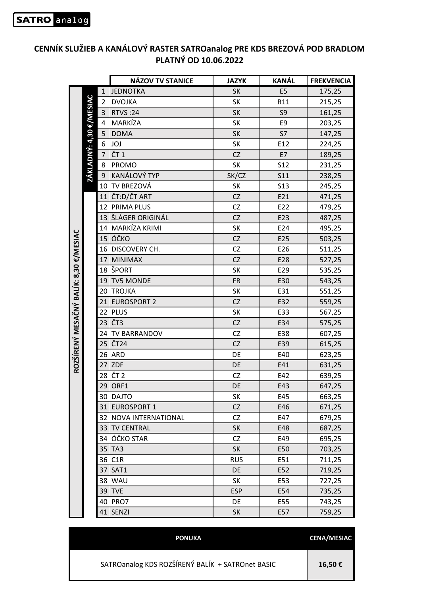|                                        |                         |                | <b>NÁZOV TV STANICE</b> | <b>JAZYK</b> | <b>KANÁL</b>    | <b>FREKVENCIA</b> |
|----------------------------------------|-------------------------|----------------|-------------------------|--------------|-----------------|-------------------|
|                                        |                         | $\mathbf{1}$   | <b>JEDNOTKA</b>         | SK           | E <sub>5</sub>  | 175,25            |
|                                        |                         | $\overline{2}$ | <b>DVOJKA</b>           | SK           | R11             | 215,25            |
|                                        |                         | 3              | <b>RTVS:24</b>          | <b>SK</b>    | S <sub>9</sub>  | 161,25            |
|                                        |                         | 4              | MARKÍZA                 | SK           | E9              | 203,25            |
|                                        |                         | 5              | <b>DOMA</b>             | <b>SK</b>    | S7              | 147,25            |
|                                        | ZÁKLADNÝ: 4,30 €/MESIAC | 6              | JOJ                     | SK           | E12             | 224,25            |
|                                        |                         | $\overline{7}$ | $\overline{C}$ T1       | CZ           | E7              | 189,25            |
|                                        |                         | 8              | <b>PROMO</b>            | SK           | S <sub>12</sub> | 231,25            |
|                                        |                         | 9              | KANÁLOVÝ TYP            | SK/CZ        | <b>S11</b>      | 238,25            |
|                                        |                         | 10             | TV BREZOVÁ              | SK           | <b>S13</b>      | 245,25            |
|                                        |                         | 11             | ČT:D/ČT ART             | CZ           | E21             | 471,25            |
|                                        |                         | 12             | <b>PRIMA PLUS</b>       | CZ           | E22             | 479,25            |
|                                        |                         |                | 13 ŠLÁGER ORIGINÁL      | CZ           | E23             | 487,25            |
|                                        |                         | 14             | MARKÍZA KRIMI           | SK           | E24             | 495,25            |
|                                        |                         |                | 15 lóčko                | CZ           | E25             | 503,25            |
|                                        |                         |                | 16 DISCOVERY CH.        | CZ           | E26             | 511,25            |
|                                        |                         | 17             | MINIMAX                 | CZ           | E28             | 527,25            |
|                                        |                         | 18             | <b>SPORT</b>            | SK           | E29             | 535,25            |
|                                        |                         | 19             | <b>TV5 MONDE</b>        | <b>FR</b>    | E30             | 543,25            |
| ROZŠÍRENÝ MESAČNÝ BALÍK: 8,30 €/MESIAC |                         | 20             | <b>TROJKA</b>           | SK           | E31             | 551,25            |
|                                        |                         |                | 21 EUROSPORT 2          | CZ           | E32             | 559,25            |
|                                        |                         | 22             | PLUS                    | SK           | E33             | 567,25            |
|                                        |                         | 23             | ČT <sub>3</sub>         | CZ           | E34             | 575,25            |
|                                        |                         | 24             | <b>TV BARRANDOV</b>     | CZ           | E38             | 607,25            |
|                                        |                         |                | 25 ČT <sub>24</sub>     | CZ           | E39             | 615,25            |
|                                        |                         | 26             | <b>ARD</b>              | DE           | E40             | 623,25            |
|                                        |                         | 27             | <b>ZDF</b>              | DE           | E41             | 631,25            |
|                                        |                         | 28             | ČT <sub>2</sub>         | CZ           | E42             | 639,25            |
|                                        |                         | 29             | ORF1                    | DE           | E43             | 647,25            |
|                                        |                         |                | 30 DAJTO                | SK           | E45             | 663,25            |
|                                        |                         |                | 31 EUROSPORT 1          | <b>CZ</b>    | E46             | 671,25            |
|                                        |                         |                | 32 NOVA INTERNATIONAL   | CZ           | E47             | 679,25            |
|                                        |                         |                | 33 TV CENTRAL           | <b>SK</b>    | E48             | 687,25            |
|                                        |                         |                | 34 OČKO STAR            | CZ           | E49             | 695,25            |
|                                        |                         |                | 35   TA3                | <b>SK</b>    | E50             | 703,25            |
|                                        |                         | 36             | C1R                     | <b>RUS</b>   | E51             | 711,25            |
|                                        |                         | 37             | SAT1                    | DE           | E52             | 719,25            |
|                                        |                         |                | 38 WAU                  | SK           | E53             | 727,25            |
|                                        |                         | 39             | <b>ITVE</b>             | <b>ESP</b>   | E54             | 735,25            |
|                                        |                         | 40             | <b>PRO7</b>             | DE           | E55             | 743,25            |
|                                        |                         |                | 41 SENZI                | <b>SK</b>    | E57             | 759,25            |

## **CENNÍK SLUŽIEB A KANÁLOVÝ RASTER SATROanalog PRE KDS BREZOVÁ POD BRADLOM PLATNÝ OD 10.06.2022**

| <b>PONUKA</b>                                    | <b>CENA/MESIAC</b> |
|--------------------------------------------------|--------------------|
| SATROanalog KDS ROZŠÍRENÝ BALÍK + SATROnet BASIC | 16,50€             |